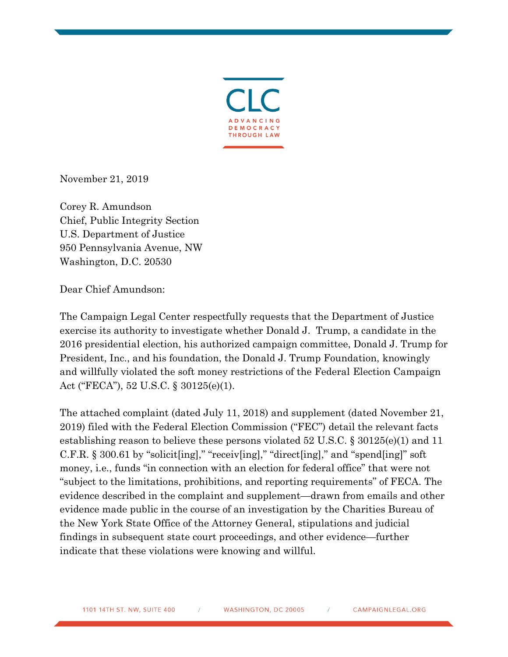

November 21, 2019

Corey R. Amundson Chief, Public Integrity Section U.S. Department of Justice 950 Pennsylvania Avenue, NW Washington, D.C. 20530

Dear Chief Amundson:

The Campaign Legal Center respectfully requests that the Department of Justice exercise its authority to investigate whether Donald J. Trump, a candidate in the 2016 presidential election, his authorized campaign committee, Donald J. Trump for President, Inc., and his foundation, the Donald J. Trump Foundation, knowingly and willfully violated the soft money restrictions of the Federal Election Campaign Act ("FECA"), 52 U.S.C. § 30125(e)(1).

The attached complaint (dated July 11, 2018) and supplement (dated November 21, 2019) filed with the Federal Election Commission ("FEC") detail the relevant facts establishing reason to believe these persons violated 52 U.S.C. § 30125(e)(1) and 11 C.F.R. § 300.61 by "solicit[ing]," "receiv[ing]," "direct[ing]," and "spend[ing]" soft money, i.e., funds "in connection with an election for federal office" that were not "subject to the limitations, prohibitions, and reporting requirements" of FECA. The evidence described in the complaint and supplement—drawn from emails and other evidence made public in the course of an investigation by the Charities Bureau of the New York State Office of the Attorney General, stipulations and judicial findings in subsequent state court proceedings, and other evidence—further indicate that these violations were knowing and willful.